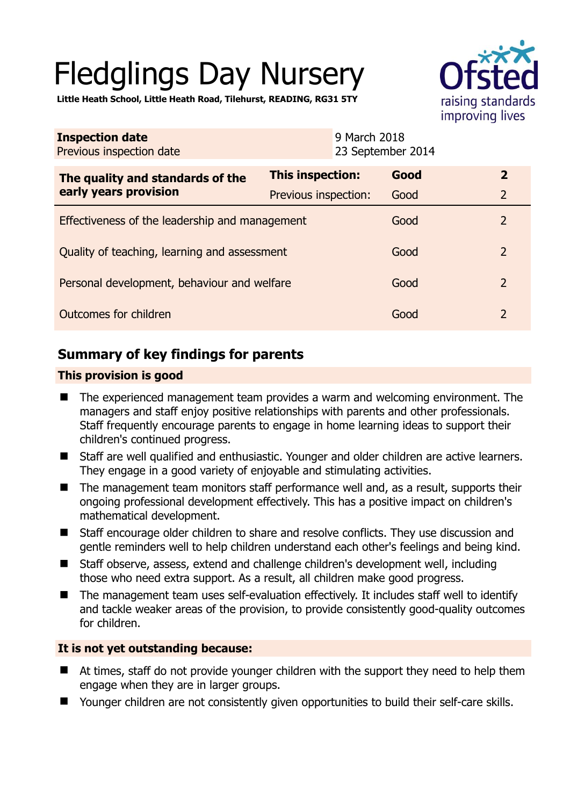# Fledglings Day Nursery



**Little Heath School, Little Heath Road, Tilehurst, READING, RG31 5TY** 

| <b>Inspection date</b><br>Previous inspection date        | 9 March 2018         | 23 September 2014 |                |
|-----------------------------------------------------------|----------------------|-------------------|----------------|
| The quality and standards of the<br>early years provision | This inspection:     | Good              | $\overline{2}$ |
|                                                           | Previous inspection: | Good              | $\overline{2}$ |
| Effectiveness of the leadership and management            |                      | Good              | $\overline{2}$ |
| Quality of teaching, learning and assessment              |                      | Good              | $\overline{2}$ |
| Personal development, behaviour and welfare               |                      | Good              | $\overline{2}$ |
| Outcomes for children                                     |                      | Good              | $\overline{2}$ |

# **Summary of key findings for parents**

## **This provision is good**

- The experienced management team provides a warm and welcoming environment. The managers and staff enjoy positive relationships with parents and other professionals. Staff frequently encourage parents to engage in home learning ideas to support their children's continued progress.
- Staff are well qualified and enthusiastic. Younger and older children are active learners. They engage in a good variety of enjoyable and stimulating activities.
- The management team monitors staff performance well and, as a result, supports their ongoing professional development effectively. This has a positive impact on children's mathematical development.
- Staff encourage older children to share and resolve conflicts. They use discussion and gentle reminders well to help children understand each other's feelings and being kind.
- Staff observe, assess, extend and challenge children's development well, including those who need extra support. As a result, all children make good progress.
- The management team uses self-evaluation effectively. It includes staff well to identify and tackle weaker areas of the provision, to provide consistently good-quality outcomes for children.

## **It is not yet outstanding because:**

- At times, staff do not provide younger children with the support they need to help them engage when they are in larger groups.
- Younger children are not consistently given opportunities to build their self-care skills.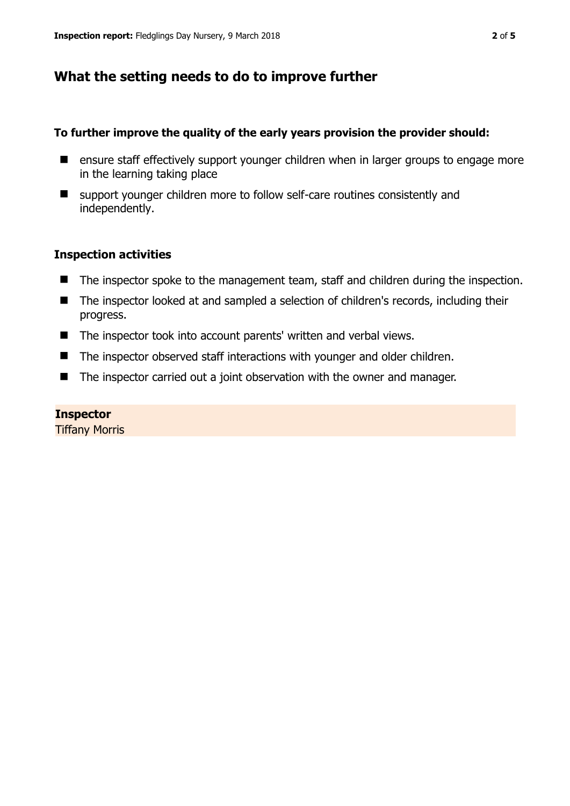# **What the setting needs to do to improve further**

### **To further improve the quality of the early years provision the provider should:**

- **E** ensure staff effectively support younger children when in larger groups to engage more in the learning taking place
- support younger children more to follow self-care routines consistently and independently.

## **Inspection activities**

- The inspector spoke to the management team, staff and children during the inspection.
- The inspector looked at and sampled a selection of children's records, including their progress.
- The inspector took into account parents' written and verbal views.
- The inspector observed staff interactions with younger and older children.
- The inspector carried out a joint observation with the owner and manager.

### **Inspector**

Tiffany Morris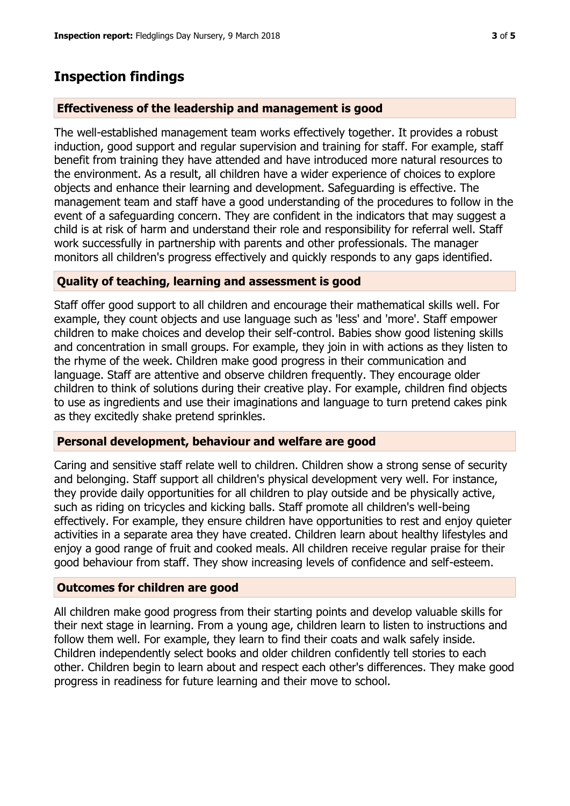## **Inspection findings**

#### **Effectiveness of the leadership and management is good**

The well-established management team works effectively together. It provides a robust induction, good support and regular supervision and training for staff. For example, staff benefit from training they have attended and have introduced more natural resources to the environment. As a result, all children have a wider experience of choices to explore objects and enhance their learning and development. Safeguarding is effective. The management team and staff have a good understanding of the procedures to follow in the event of a safeguarding concern. They are confident in the indicators that may suggest a child is at risk of harm and understand their role and responsibility for referral well. Staff work successfully in partnership with parents and other professionals. The manager monitors all children's progress effectively and quickly responds to any gaps identified.

#### **Quality of teaching, learning and assessment is good**

Staff offer good support to all children and encourage their mathematical skills well. For example, they count objects and use language such as 'less' and 'more'. Staff empower children to make choices and develop their self-control. Babies show good listening skills and concentration in small groups. For example, they join in with actions as they listen to the rhyme of the week. Children make good progress in their communication and language. Staff are attentive and observe children frequently. They encourage older children to think of solutions during their creative play. For example, children find objects to use as ingredients and use their imaginations and language to turn pretend cakes pink as they excitedly shake pretend sprinkles.

#### **Personal development, behaviour and welfare are good**

Caring and sensitive staff relate well to children. Children show a strong sense of security and belonging. Staff support all children's physical development very well. For instance, they provide daily opportunities for all children to play outside and be physically active, such as riding on tricycles and kicking balls. Staff promote all children's well-being effectively. For example, they ensure children have opportunities to rest and enjoy quieter activities in a separate area they have created. Children learn about healthy lifestyles and enjoy a good range of fruit and cooked meals. All children receive regular praise for their good behaviour from staff. They show increasing levels of confidence and self-esteem.

#### **Outcomes for children are good**

All children make good progress from their starting points and develop valuable skills for their next stage in learning. From a young age, children learn to listen to instructions and follow them well. For example, they learn to find their coats and walk safely inside. Children independently select books and older children confidently tell stories to each other. Children begin to learn about and respect each other's differences. They make good progress in readiness for future learning and their move to school.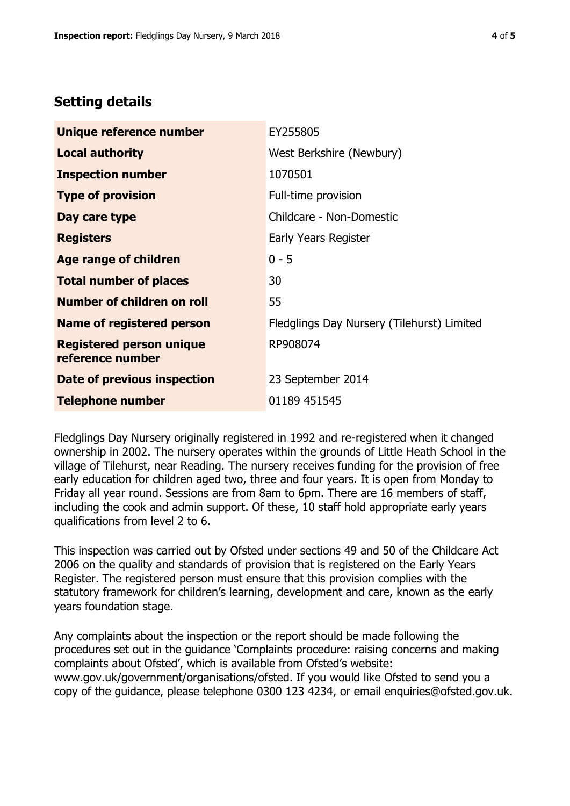# **Setting details**

| Unique reference number                             | EY255805                                   |  |
|-----------------------------------------------------|--------------------------------------------|--|
| <b>Local authority</b>                              | West Berkshire (Newbury)                   |  |
| <b>Inspection number</b>                            | 1070501                                    |  |
| <b>Type of provision</b>                            | Full-time provision                        |  |
| Day care type                                       | Childcare - Non-Domestic                   |  |
| <b>Registers</b>                                    | Early Years Register                       |  |
| Age range of children                               | $0 - 5$                                    |  |
| <b>Total number of places</b>                       | 30                                         |  |
| Number of children on roll                          | 55                                         |  |
| <b>Name of registered person</b>                    | Fledglings Day Nursery (Tilehurst) Limited |  |
| <b>Registered person unique</b><br>reference number | RP908074                                   |  |
| Date of previous inspection                         | 23 September 2014                          |  |
| <b>Telephone number</b>                             | 01189 451545                               |  |

Fledglings Day Nursery originally registered in 1992 and re-registered when it changed ownership in 2002. The nursery operates within the grounds of Little Heath School in the village of Tilehurst, near Reading. The nursery receives funding for the provision of free early education for children aged two, three and four years. It is open from Monday to Friday all year round. Sessions are from 8am to 6pm. There are 16 members of staff, including the cook and admin support. Of these, 10 staff hold appropriate early years qualifications from level 2 to 6.

This inspection was carried out by Ofsted under sections 49 and 50 of the Childcare Act 2006 on the quality and standards of provision that is registered on the Early Years Register. The registered person must ensure that this provision complies with the statutory framework for children's learning, development and care, known as the early years foundation stage.

Any complaints about the inspection or the report should be made following the procedures set out in the guidance 'Complaints procedure: raising concerns and making complaints about Ofsted', which is available from Ofsted's website: www.gov.uk/government/organisations/ofsted. If you would like Ofsted to send you a copy of the guidance, please telephone 0300 123 4234, or email enquiries@ofsted.gov.uk.